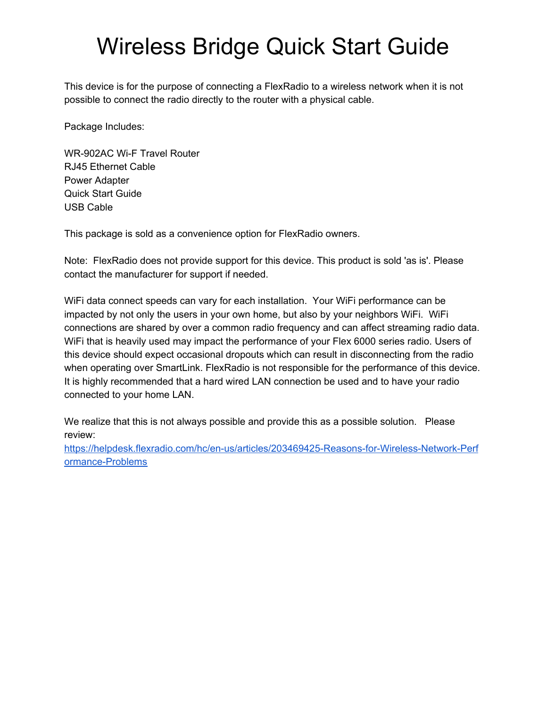## Wireless Bridge Quick Start Guide

This device is for the purpose of connecting a FlexRadio to a wireless network when it is not possible to connect the radio directly to the router with a physical cable.

Package Includes:

WR-902AC Wi-F Travel Router RJ45 Ethernet Cable Power Adapter Quick Start Guide USB Cable

This package is sold as a convenience option for FlexRadio owners.

Note: FlexRadio does not provide support for this device. This product is sold 'as is'. Please contact the manufacturer for support if needed.

WiFi data connect speeds can vary for each installation. Your WiFi performance can be impacted by not only the users in your own home, but also by your neighbors WiFi. WiFi connections are shared by over a common radio frequency and can affect streaming radio data. WiFi that is heavily used may impact the performance of your Flex 6000 series radio. Users of this device should expect occasional dropouts which can result in disconnecting from the radio when operating over SmartLink. FlexRadio is not responsible for the performance of this device. It is highly recommended that a hard wired LAN connection be used and to have your radio connected to your home LAN.

We realize that this is not always possible and provide this as a possible solution. Please review[:](https://helpdesk.flexradio.com/hc/en-us/articles/203469425-Reasons-for-Wireless-Network-Performance-Problems)

[https://helpdesk.flexradio.com/hc/en-us/articles/203469425-Reasons-for-Wireless-Network-Perf](https://helpdesk.flexradio.com/hc/en-us/articles/203469425-Reasons-for-Wireless-Network-Performance-Problems) [ormance-Problems](https://helpdesk.flexradio.com/hc/en-us/articles/203469425-Reasons-for-Wireless-Network-Performance-Problems)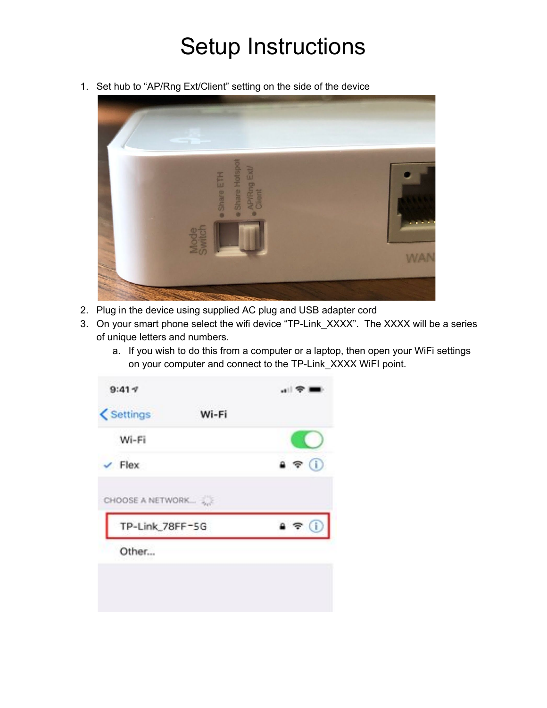## Setup Instructions

1. Set hub to "AP/Rng Ext/Client" setting on the side of the device



- 2. Plug in the device using supplied AC plug and USB adapter cord
- 3. On your smart phone select the wifi device "TP-Link\_XXXX". The XXXX will be a series of unique letters and numbers.
	- a. If you wish to do this from a computer or a laptop, then open your WiFi settings on your computer and connect to the TP-Link\_XXXX WiFI point.

| $W[-F]$                  |           |
|--------------------------|-----------|
|                          |           |
|                          |           |
|                          | $\bullet$ |
| Flex<br>CHOOSE A NETWORK |           |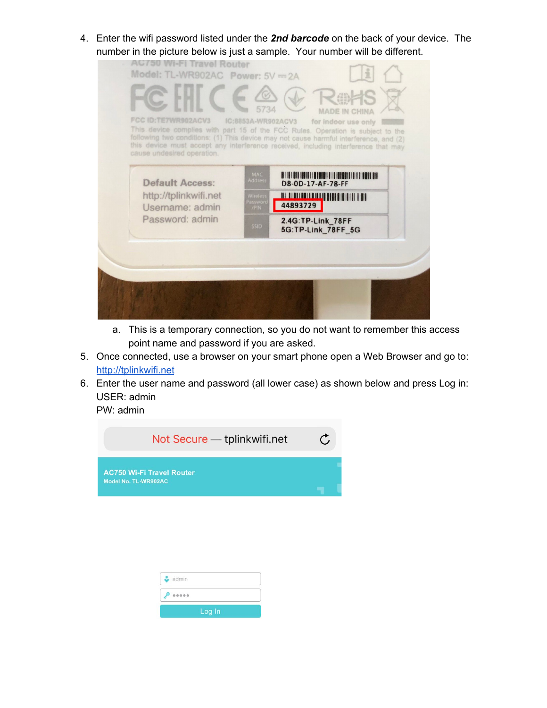4. Enter the wifi password listed under the *2nd barcode* on the back of your device. The number in the picture below is just a sample. Your number will be different.

| 5734<br><b>MADE IN CHINA</b><br><b>FCC ID:TE7WR902ACV3</b><br>IC:8853A-WR902ACV3<br>for indoor use only<br>This device complies with part 15 of the FCC Rules. Operation is subject to the<br>following two conditions: (1) This device may not cause harmful interference, and (2)<br>this device must accept any interference received, including interference that may<br>cause undesired operation. |
|---------------------------------------------------------------------------------------------------------------------------------------------------------------------------------------------------------------------------------------------------------------------------------------------------------------------------------------------------------------------------------------------------------|
| <b>MAC</b><br><b>Address</b><br><b>Default Access:</b><br>D8-0D-17-AF-78-FF<br>http://tplinkwifi.net<br><u> All albai boi la illig di di di illig i dil</u><br>Wireles<br>assword<br>44893729<br>Username: admin<br>/PIN<br>Password: admin<br>2.4G:TP-Link 78FF<br><b>SSID</b><br>5G:TP-Link 78FF 5G                                                                                                   |

- a. This is a temporary connection, so you do not want to remember this access point name and password if you are asked.
- 5. Once connected, use a browser on your smart phone open a Web Browser and go to: [http://tplinkwifi.net](http://tplinkwifi.net/)
- 6. Enter the user name and password (all lower case) as shown below and press Log in: USER: admin

PW: admin



| $\sim$ admin |        |  |
|--------------|--------|--|
| 0.0000       |        |  |
|              | Log In |  |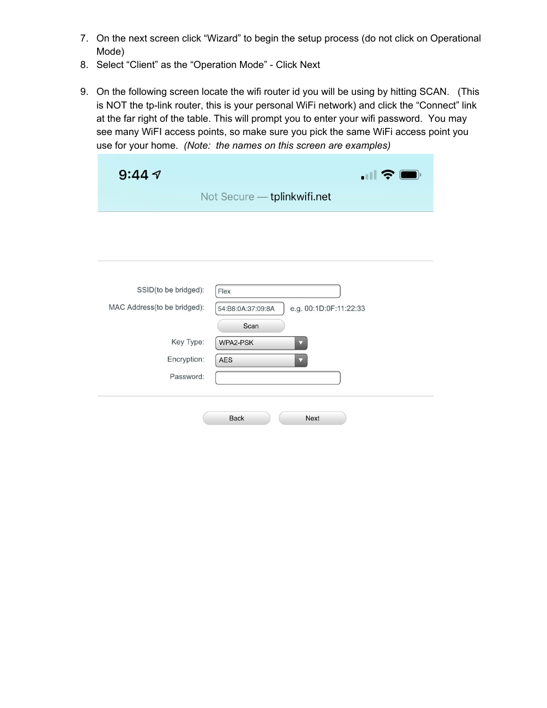- 7. On the next screen click "Wizard" to begin the setup process (do not click on Operational Mode)
- 8. Select "Client" as the "Operation Mode" Click Next
- 9. On the following screen locate the wifi router id you will be using by hitting SCAN. (This is NOT the tp-link router, this is your personal WiFi network) and click the "Connect" link at the far right of the table. This will prompt you to enter your wifi password. You may see many WiFI access points, so make sure you pick the same WiFi access point you use for your home. *(Note: the names on this screen are examples)*

| 9:44 $\tau$                 | $\blacksquare$                              |
|-----------------------------|---------------------------------------------|
|                             | Not Secure - tplinkwifi.net                 |
|                             |                                             |
|                             |                                             |
|                             |                                             |
|                             |                                             |
| SSID(to be bridged):        | Flex                                        |
| MAC Address(to be bridged): | e.g. 00:1D:0F:11:22:33<br>54:B8:0A:37:09:8A |
|                             | Scan                                        |
| Key Type:                   | WPA2-PSK<br>$\overline{\phantom{a}}$        |
|                             |                                             |
| Encryption:                 | AES                                         |
| Password:                   |                                             |
|                             |                                             |
|                             |                                             |
|                             | <b>Back</b><br><b>Next</b>                  |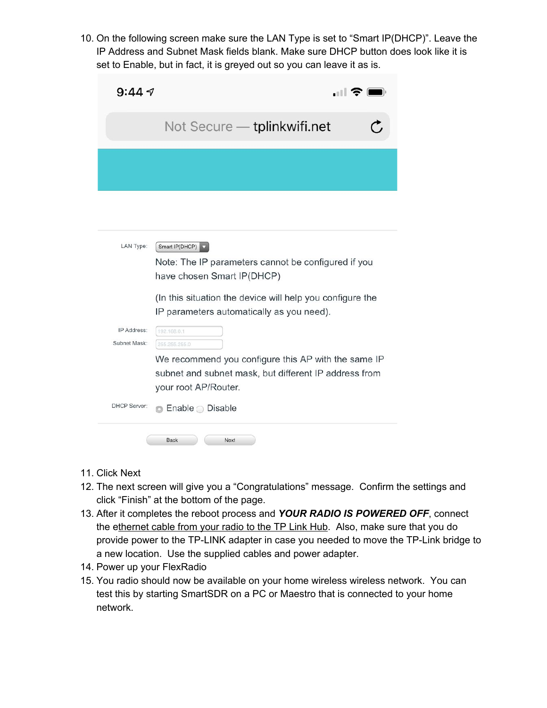10. On the following screen make sure the LAN Type is set to "Smart IP(DHCP)". Leave the IP Address and Subnet Mask fields blank. Make sure DHCP button does look like it is set to Enable, but in fact, it is greyed out so you can leave it as is.

| 9:447                       | . II S                                                                                                                               |
|-----------------------------|--------------------------------------------------------------------------------------------------------------------------------------|
|                             | Not Secure - tplinkwifi.net                                                                                                          |
|                             |                                                                                                                                      |
|                             |                                                                                                                                      |
|                             |                                                                                                                                      |
| LAN Type:                   | Smart IP(DHCP)<br>Note: The IP parameters cannot be configured if you<br>have chosen Smart IP(DHCP)                                  |
|                             | (In this situation the device will help you configure the<br>IP parameters automatically as you need).                               |
| IP Address:<br>Subnet Mask: | 192.168.0.1<br>255.255.255.0                                                                                                         |
|                             | We recommend you configure this AP with the same IP<br>subnet and subnet mask, but different IP address from<br>your root AP/Router. |
| <b>DHCP Server:</b>         | Enable $\bigcirc$ Disable                                                                                                            |

- 11. Click Next
- 12. The next screen will give you a "Congratulations" message. Confirm the settings and click "Finish" at the bottom of the page.

Next

- 13. After it completes the reboot process and *YOUR RADIO IS POWERED OFF*, connect the ethernet cable from your radio to the TP Link Hub. Also, make sure that you do provide power to the TP-LINK adapter in case you needed to move the TP-Link bridge to a new location. Use the supplied cables and power adapter.
- 14. Power up your FlexRadio

Back

15. You radio should now be available on your home wireless wireless network. You can test this by starting SmartSDR on a PC or Maestro that is connected to your home network.